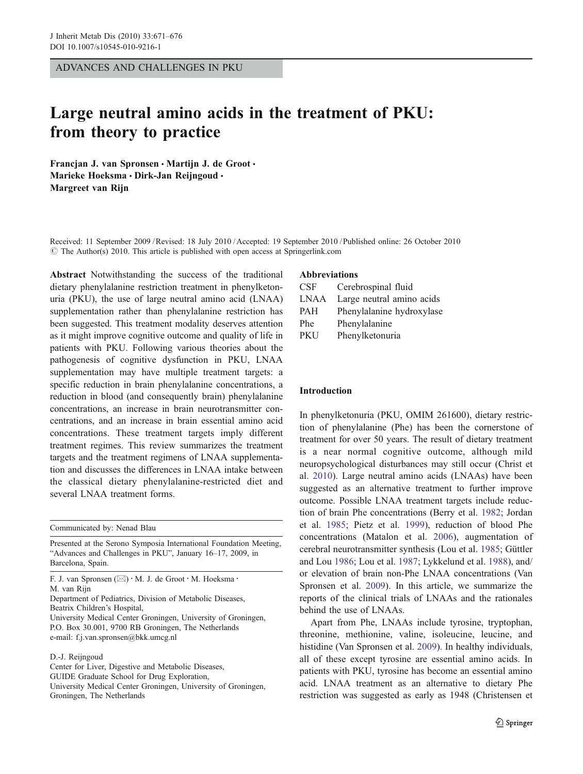ADVANCES AND CHALLENGES IN PKU

# Large neutral amino acids in the treatment of PKU: from theory to practice

Francjan J. van Spronsen · Martijn J. de Groot · Marieke Hoeksma · Dirk-Jan Reijngoud · Margreet van Rijn

Received: 11 September 2009 /Revised: 18 July 2010 /Accepted: 19 September 2010 / Published online: 26 October 2010  $\circ$  The Author(s) 2010. This article is published with open access at Springerlink.com

Abstract Notwithstanding the success of the traditional dietary phenylalanine restriction treatment in phenylketonuria (PKU), the use of large neutral amino acid (LNAA) supplementation rather than phenylalanine restriction has been suggested. This treatment modality deserves attention as it might improve cognitive outcome and quality of life in patients with PKU. Following various theories about the pathogenesis of cognitive dysfunction in PKU, LNAA supplementation may have multiple treatment targets: a specific reduction in brain phenylalanine concentrations, a reduction in blood (and consequently brain) phenylalanine concentrations, an increase in brain neurotransmitter concentrations, and an increase in brain essential amino acid concentrations. These treatment targets imply different treatment regimes. This review summarizes the treatment targets and the treatment regimens of LNAA supplementation and discusses the differences in LNAA intake between the classical dietary phenylalanine-restricted diet and several LNAA treatment forms.

Communicated by: Nenad Blau

Presented at the Serono Symposia International Foundation Meeting, "Advances and Challenges in PKU", January 16–17, 2009, in Barcelona, Spain.

F. J. van Spronsen  $(\boxtimes) \cdot M$ . J. de Groot  $\cdot M$ . Hoeksma  $\cdot$ M. van Rijn

Department of Pediatrics, Division of Metabolic Diseases, Beatrix Children's Hospital,

University Medical Center Groningen, University of Groningen, P.O. Box 30.001, 9700 RB Groningen, The Netherlands e-mail: f.j.van.spronsen@bkk.umcg.nl

#### D.-J. Reijngoud

Center for Liver, Digestive and Metabolic Diseases, GUIDE Graduate School for Drug Exploration, University Medical Center Groningen, University of Groningen, Groningen, The Netherlands

## Abbreviations

| <b>CSF</b> | Cerebrospinal fluid       |
|------------|---------------------------|
| LNAA       | Large neutral amino acids |
| <b>PAH</b> | Phenylalanine hydroxylase |
| Phe        | Phenylalanine             |
| PKU        | Phenylketonuria           |

#### Introduction

In phenylketonuria (PKU, OMIM 261600), dietary restriction of phenylalanine (Phe) has been the cornerstone of treatment for over 50 years. The result of dietary treatment is a near normal cognitive outcome, although mild neuropsychological disturbances may still occur (Christ et al. [2010\)](#page-4-0). Large neutral amino acids (LNAAs) have been suggested as an alternative treatment to further improve outcome. Possible LNAA treatment targets include reduction of brain Phe concentrations (Berry et al. [1982;](#page-4-0) Jordan et al. [1985](#page-4-0); Pietz et al. [1999\)](#page-4-0), reduction of blood Phe concentrations (Matalon et al. [2006](#page-4-0)), augmentation of cerebral neurotransmitter synthesis (Lou et al. [1985](#page-4-0); Güttler and Lou [1986;](#page-4-0) Lou et al. [1987](#page-4-0); Lykkelund et al. [1988\)](#page-4-0), and/ or elevation of brain non-Phe LNAA concentrations (Van Spronsen et al. [2009\)](#page-5-0). In this article, we summarize the reports of the clinical trials of LNAAs and the rationales behind the use of LNAAs.

Apart from Phe, LNAAs include tyrosine, tryptophan, threonine, methionine, valine, isoleucine, leucine, and histidine (Van Spronsen et al. [2009](#page-5-0)). In healthy individuals, all of these except tyrosine are essential amino acids. In patients with PKU, tyrosine has become an essential amino acid. LNAA treatment as an alternative to dietary Phe restriction was suggested as early as 1948 (Christensen et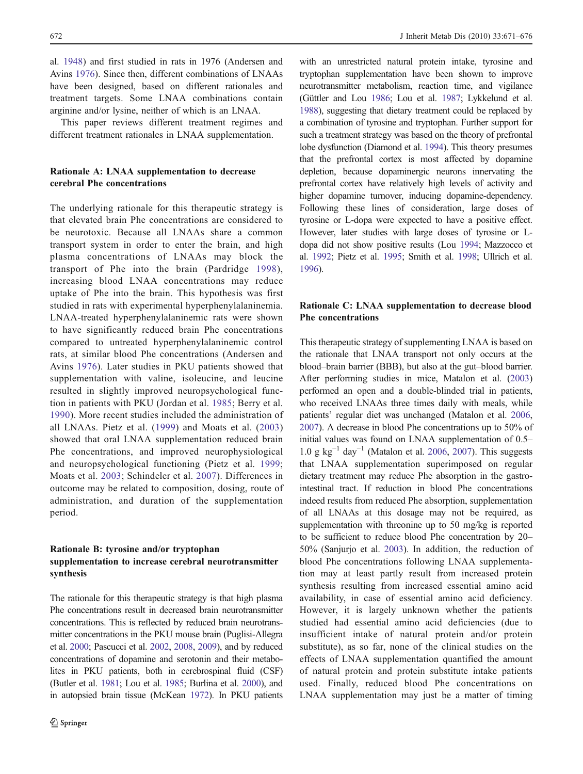al. [1948\)](#page-4-0) and first studied in rats in 1976 (Andersen and Avins [1976](#page-4-0)). Since then, different combinations of LNAAs have been designed, based on different rationales and treatment targets. Some LNAA combinations contain arginine and/or lysine, neither of which is an LNAA.

This paper reviews different treatment regimes and different treatment rationales in LNAA supplementation.

## Rationale A: LNAA supplementation to decrease cerebral Phe concentrations

The underlying rationale for this therapeutic strategy is that elevated brain Phe concentrations are considered to be neurotoxic. Because all LNAAs share a common transport system in order to enter the brain, and high plasma concentrations of LNAAs may block the transport of Phe into the brain (Pardridge [1998](#page-4-0)), increasing blood LNAA concentrations may reduce uptake of Phe into the brain. This hypothesis was first studied in rats with experimental hyperphenylalaninemia. LNAA-treated hyperphenylalaninemic rats were shown to have significantly reduced brain Phe concentrations compared to untreated hyperphenylalaninemic control rats, at similar blood Phe concentrations (Andersen and Avins [1976](#page-4-0)). Later studies in PKU patients showed that supplementation with valine, isoleucine, and leucine resulted in slightly improved neuropsychological function in patients with PKU (Jordan et al. [1985](#page-4-0); Berry et al. [1990\)](#page-4-0). More recent studies included the administration of all LNAAs. Pietz et al. ([1999](#page-4-0)) and Moats et al. ([2003\)](#page-4-0) showed that oral LNAA supplementation reduced brain Phe concentrations, and improved neurophysiological and neuropsychological functioning (Pietz et al. [1999](#page-4-0); Moats et al. [2003](#page-4-0); Schindeler et al. [2007](#page-5-0)). Differences in outcome may be related to composition, dosing, route of administration, and duration of the supplementation period.

## Rationale B: tyrosine and/or tryptophan supplementation to increase cerebral neurotransmitter synthesis

The rationale for this therapeutic strategy is that high plasma Phe concentrations result in decreased brain neurotransmitter concentrations. This is reflected by reduced brain neurotransmitter concentrations in the PKU mouse brain (Puglisi-Allegra et al. [2000;](#page-4-0) Pascucci et al. [2002,](#page-4-0) [2008](#page-4-0), [2009](#page-4-0)), and by reduced concentrations of dopamine and serotonin and their metabolites in PKU patients, both in cerebrospinal fluid (CSF) (Butler et al. [1981](#page-4-0); Lou et al. [1985;](#page-4-0) Burlina et al. [2000\)](#page-4-0), and in autopsied brain tissue (McKean [1972\)](#page-4-0). In PKU patients

with an unrestricted natural protein intake, tyrosine and tryptophan supplementation have been shown to improve neurotransmitter metabolism, reaction time, and vigilance (Güttler and Lou [1986;](#page-4-0) Lou et al. [1987;](#page-4-0) Lykkelund et al. [1988](#page-4-0)), suggesting that dietary treatment could be replaced by a combination of tyrosine and tryptophan. Further support for such a treatment strategy was based on the theory of prefrontal lobe dysfunction (Diamond et al. [1994](#page-4-0)). This theory presumes that the prefrontal cortex is most affected by dopamine depletion, because dopaminergic neurons innervating the prefrontal cortex have relatively high levels of activity and higher dopamine turnover, inducing dopamine-dependency. Following these lines of consideration, large doses of tyrosine or L-dopa were expected to have a positive effect. However, later studies with large doses of tyrosine or Ldopa did not show positive results (Lou [1994](#page-4-0); Mazzocco et al. [1992](#page-4-0); Pietz et al. [1995;](#page-4-0) Smith et al. [1998](#page-5-0); Ullrich et al. [1996](#page-5-0)).

#### Rationale C: LNAA supplementation to decrease blood Phe concentrations

This therapeutic strategy of supplementing LNAA is based on the rationale that LNAA transport not only occurs at the blood–brain barrier (BBB), but also at the gut–blood barrier. After performing studies in mice, Matalon et al. [\(2003](#page-4-0)) performed an open and a double-blinded trial in patients, who received LNAAs three times daily with meals, while patients' regular diet was unchanged (Matalon et al. [2006,](#page-4-0) [2007\)](#page-4-0). A decrease in blood Phe concentrations up to 50% of initial values was found on LNAA supplementation of 0.5– 1.0 g kg<sup>-1</sup> day<sup>-1</sup> (Matalon et al. [2006,](#page-4-0) [2007](#page-4-0)). This suggests that LNAA supplementation superimposed on regular dietary treatment may reduce Phe absorption in the gastrointestinal tract. If reduction in blood Phe concentrations indeed results from reduced Phe absorption, supplementation of all LNAAs at this dosage may not be required, as supplementation with threonine up to 50 mg/kg is reported to be sufficient to reduce blood Phe concentration by 20– 50% (Sanjurjo et al. [2003](#page-5-0)). In addition, the reduction of blood Phe concentrations following LNAA supplementation may at least partly result from increased protein synthesis resulting from increased essential amino acid availability, in case of essential amino acid deficiency. However, it is largely unknown whether the patients studied had essential amino acid deficiencies (due to insufficient intake of natural protein and/or protein substitute), as so far, none of the clinical studies on the effects of LNAA supplementation quantified the amount of natural protein and protein substitute intake patients used. Finally, reduced blood Phe concentrations on LNAA supplementation may just be a matter of timing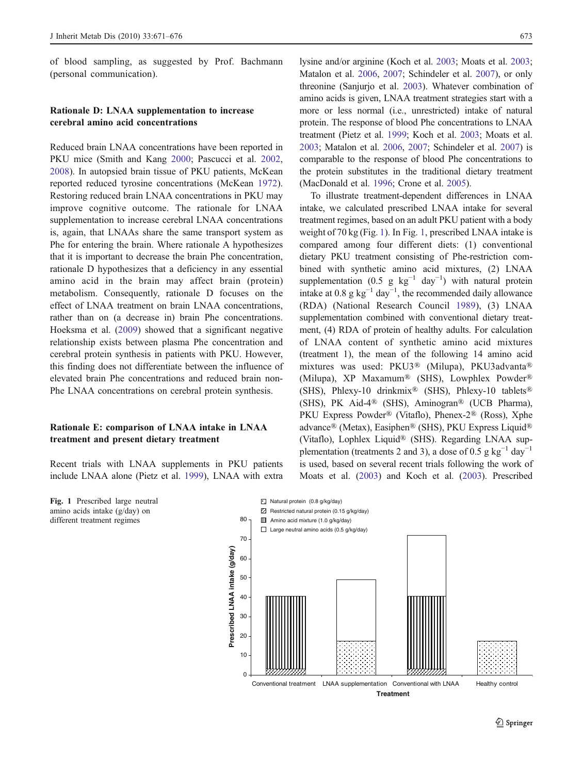<span id="page-2-0"></span>of blood sampling, as suggested by Prof. Bachmann (personal communication).

#### Rationale D: LNAA supplementation to increase cerebral amino acid concentrations

Reduced brain LNAA concentrations have been reported in PKU mice (Smith and Kang [2000;](#page-5-0) Pascucci et al. [2002,](#page-4-0) [2008\)](#page-4-0). In autopsied brain tissue of PKU patients, McKean reported reduced tyrosine concentrations (McKean [1972](#page-4-0)). Restoring reduced brain LNAA concentrations in PKU may improve cognitive outcome. The rationale for LNAA supplementation to increase cerebral LNAA concentrations is, again, that LNAAs share the same transport system as Phe for entering the brain. Where rationale A hypothesizes that it is important to decrease the brain Phe concentration, rationale D hypothesizes that a deficiency in any essential amino acid in the brain may affect brain (protein) metabolism. Consequently, rationale D focuses on the effect of LNAA treatment on brain LNAA concentrations, rather than on (a decrease in) brain Phe concentrations. Hoeksma et al. ([2009\)](#page-4-0) showed that a significant negative relationship exists between plasma Phe concentration and cerebral protein synthesis in patients with PKU. However, this finding does not differentiate between the influence of elevated brain Phe concentrations and reduced brain non-Phe LNAA concentrations on cerebral protein synthesis.

#### Rationale E: comparison of LNAA intake in LNAA treatment and present dietary treatment

Recent trials with LNAA supplements in PKU patients include LNAA alone (Pietz et al. [1999\)](#page-4-0), LNAA with extra

lysine and/or arginine (Koch et al. [2003;](#page-4-0) Moats et al. [2003;](#page-4-0) Matalon et al. [2006](#page-4-0), [2007](#page-4-0); Schindeler et al. [2007\)](#page-5-0), or only threonine (Sanjurjo et al. [2003\)](#page-5-0). Whatever combination of amino acids is given, LNAA treatment strategies start with a more or less normal (i.e., unrestricted) intake of natural protein. The response of blood Phe concentrations to LNAA treatment (Pietz et al. [1999](#page-4-0); Koch et al. [2003;](#page-4-0) Moats et al. [2003;](#page-4-0) Matalon et al. [2006](#page-4-0), [2007;](#page-4-0) Schindeler et al. [2007\)](#page-5-0) is comparable to the response of blood Phe concentrations to the protein substitutes in the traditional dietary treatment (MacDonald et al. [1996;](#page-4-0) Crone et al. [2005](#page-4-0)).

To illustrate treatment-dependent differences in LNAA intake, we calculated prescribed LNAA intake for several treatment regimes, based on an adult PKU patient with a body weight of 70 kg (Fig. 1). In Fig. 1, prescribed LNAA intake is compared among four different diets: (1) conventional dietary PKU treatment consisting of Phe-restriction combined with synthetic amino acid mixtures, (2) LNAA supplementation (0.5 g  $kg^{-1}$  day<sup>-1</sup>) with natural protein intake at  $0.8$  g kg<sup>-1</sup> day<sup>-1</sup>, the recommended daily allowance (RDA) (National Research Council [1989](#page-4-0)), (3) LNAA supplementation combined with conventional dietary treatment, (4) RDA of protein of healthy adults. For calculation of LNAA content of synthetic amino acid mixtures (treatment 1), the mean of the following 14 amino acid mixtures was used: PKU3® (Milupa), PKU3advanta® (Milupa), XP Maxamum® (SHS), Lowphlex Powder® (SHS), Phlexy-10 drinkmix® (SHS), Phlexy-10 tablets® (SHS), PK Aid-4® (SHS), Aminogran® (UCB Pharma), PKU Express Powder® (Vitaflo), Phenex-2® (Ross), Xphe advance® (Metax), Easiphen® (SHS), PKU Express Liquid® (Vitaflo), Lophlex Liquid® (SHS). Regarding LNAA supplementation (treatments 2 and 3), a dose of 0.5 g kg<sup>-1</sup> day<sup>-1</sup> is used, based on several recent trials following the work of Moats et al. ([2003](#page-4-0)) and Koch et al. ([2003](#page-4-0)). Prescribed



amino acids intake (g/day) on different treatment regimes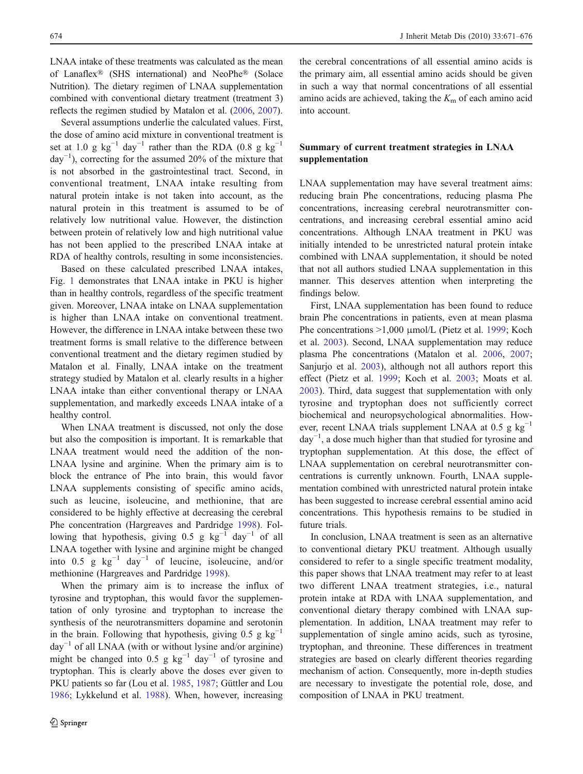LNAA intake of these treatments was calculated as the mean of Lanaflex® (SHS international) and NeoPhe® (Solace Nutrition). The dietary regimen of LNAA supplementation combined with conventional dietary treatment (treatment 3) reflects the regimen studied by Matalon et al. [\(2006,](#page-4-0) [2007](#page-4-0)).

Several assumptions underlie the calculated values. First, the dose of amino acid mixture in conventional treatment is set at 1.0 g kg<sup>-1</sup> day<sup>-1</sup> rather than the RDA (0.8 g kg<sup>-1</sup> day−<sup>1</sup> ), correcting for the assumed 20% of the mixture that is not absorbed in the gastrointestinal tract. Second, in conventional treatment, LNAA intake resulting from natural protein intake is not taken into account, as the natural protein in this treatment is assumed to be of relatively low nutritional value. However, the distinction between protein of relatively low and high nutritional value has not been applied to the prescribed LNAA intake at RDA of healthy controls, resulting in some inconsistencies.

Based on these calculated prescribed LNAA intakes, Fig. [1](#page-2-0) demonstrates that LNAA intake in PKU is higher than in healthy controls, regardless of the specific treatment given. Moreover, LNAA intake on LNAA supplementation is higher than LNAA intake on conventional treatment. However, the difference in LNAA intake between these two treatment forms is small relative to the difference between conventional treatment and the dietary regimen studied by Matalon et al. Finally, LNAA intake on the treatment strategy studied by Matalon et al. clearly results in a higher LNAA intake than either conventional therapy or LNAA supplementation, and markedly exceeds LNAA intake of a healthy control.

When LNAA treatment is discussed, not only the dose but also the composition is important. It is remarkable that LNAA treatment would need the addition of the non-LNAA lysine and arginine. When the primary aim is to block the entrance of Phe into brain, this would favor LNAA supplements consisting of specific amino acids, such as leucine, isoleucine, and methionine, that are considered to be highly effective at decreasing the cerebral Phe concentration (Hargreaves and Pardridge [1998\)](#page-4-0). Following that hypothesis, giving 0.5 g  $kg^{-1}$  day<sup>-1</sup> of all LNAA together with lysine and arginine might be changed into 0.5 g  $kg^{-1}$  day<sup>-1</sup> of leucine, isoleucine, and/or methionine (Hargreaves and Pardridge [1998](#page-4-0)).

When the primary aim is to increase the influx of tyrosine and tryptophan, this would favor the supplementation of only tyrosine and tryptophan to increase the synthesis of the neurotransmitters dopamine and serotonin in the brain. Following that hypothesis, giving 0.5 g kg<sup>-1</sup>  $day^{-1}$  of all LNAA (with or without lysine and/or arginine) might be changed into 0.5 g  $kg^{-1}$  day<sup>-1</sup> of tyrosine and tryptophan. This is clearly above the doses ever given to PKU patients so far (Lou et al. [1985](#page-4-0), [1987](#page-4-0); Güttler and Lou [1986;](#page-4-0) Lykkelund et al. [1988\)](#page-4-0). When, however, increasing

the cerebral concentrations of all essential amino acids is the primary aim, all essential amino acids should be given in such a way that normal concentrations of all essential amino acids are achieved, taking the  $K<sub>m</sub>$  of each amino acid into account.

#### Summary of current treatment strategies in LNAA supplementation

LNAA supplementation may have several treatment aims: reducing brain Phe concentrations, reducing plasma Phe concentrations, increasing cerebral neurotransmitter concentrations, and increasing cerebral essential amino acid concentrations. Although LNAA treatment in PKU was initially intended to be unrestricted natural protein intake combined with LNAA supplementation, it should be noted that not all authors studied LNAA supplementation in this manner. This deserves attention when interpreting the findings below.

First, LNAA supplementation has been found to reduce brain Phe concentrations in patients, even at mean plasma Phe concentrations >1,000 μmol/L (Pietz et al. [1999](#page-4-0); Koch et al. [2003\)](#page-4-0). Second, LNAA supplementation may reduce plasma Phe concentrations (Matalon et al. [2006](#page-4-0), [2007;](#page-4-0) Sanjurjo et al. [2003\)](#page-5-0), although not all authors report this effect (Pietz et al. [1999;](#page-4-0) Koch et al. [2003](#page-4-0); Moats et al. [2003](#page-4-0)). Third, data suggest that supplementation with only tyrosine and tryptophan does not sufficiently correct biochemical and neuropsychological abnormalities. However, recent LNAA trials supplement LNAA at 0.5 g  $kg^{-1}$ day−<sup>1</sup> , a dose much higher than that studied for tyrosine and tryptophan supplementation. At this dose, the effect of LNAA supplementation on cerebral neurotransmitter concentrations is currently unknown. Fourth, LNAA supplementation combined with unrestricted natural protein intake has been suggested to increase cerebral essential amino acid concentrations. This hypothesis remains to be studied in future trials.

In conclusion, LNAA treatment is seen as an alternative to conventional dietary PKU treatment. Although usually considered to refer to a single specific treatment modality, this paper shows that LNAA treatment may refer to at least two different LNAA treatment strategies, i.e., natural protein intake at RDA with LNAA supplementation, and conventional dietary therapy combined with LNAA supplementation. In addition, LNAA treatment may refer to supplementation of single amino acids, such as tyrosine, tryptophan, and threonine. These differences in treatment strategies are based on clearly different theories regarding mechanism of action. Consequently, more in-depth studies are necessary to investigate the potential role, dose, and composition of LNAA in PKU treatment.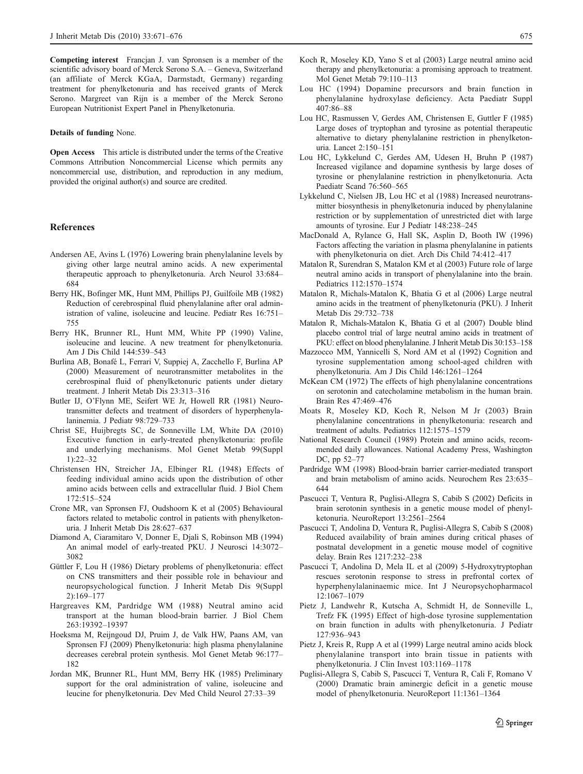<span id="page-4-0"></span>Competing interest Francjan J. van Spronsen is a member of the scientific advisory board of Merck Serono S.A. – Geneva, Switzerland (an affiliate of Merck KGaA, Darmstadt, Germany) regarding treatment for phenylketonuria and has received grants of Merck Serono. Margreet van Rijn is a member of the Merck Serono European Nutritionist Expert Panel in Phenylketonuria.

#### Details of funding None.

**Open Access** This article is distributed under the terms of the Creative Commons Attribution Noncommercial License which permits any noncommercial use, distribution, and reproduction in any medium, provided the original author(s) and source are credited.

#### References

- Andersen AE, Avins L (1976) Lowering brain phenylalanine levels by giving other large neutral amino acids. A new experimental therapeutic approach to phenylketonuria. Arch Neurol 33:684– 684
- Berry HK, Bofinger MK, Hunt MM, Phillips PJ, Guilfoile MB (1982) Reduction of cerebrospinal fluid phenylalanine after oral administration of valine, isoleucine and leucine. Pediatr Res 16:751– 755
- Berry HK, Brunner RL, Hunt MM, White PP (1990) Valine, isoleucine and leucine. A new treatment for phenylketonuria. Am J Dis Child 144:539–543
- Burlina AB, Bonafé L, Ferrari V, Suppiej A, Zacchello F, Burlina AP (2000) Measurement of neurotransmitter metabolites in the cerebrospinal fluid of phenylketonuric patients under dietary treatment. J Inherit Metab Dis 23:313–316
- Butler IJ, O'Flynn ME, Seifert WE Jr, Howell RR (1981) Neurotransmitter defects and treatment of disorders of hyperphenylalaninemia. J Pediatr 98:729–733
- Christ SE, Huijbregts SC, de Sonneville LM, White DA (2010) Executive function in early-treated phenylketonuria: profile and underlying mechanisms. Mol Genet Metab 99(Suppl 1):22–32
- Christensen HN, Streicher JA, Elbinger RL (1948) Effects of feeding individual amino acids upon the distribution of other amino acids between cells and extracellular fluid. J Biol Chem 172:515–524
- Crone MR, van Spronsen FJ, Oudshoorn K et al (2005) Behavioural factors related to metabolic control in patients with phenylketonuria. J Inherit Metab Dis 28:627–637
- Diamond A, Ciaramitaro V, Donner E, Djali S, Robinson MB (1994) An animal model of early-treated PKU. J Neurosci 14:3072– 3082
- Güttler F, Lou H (1986) Dietary problems of phenylketonuria: effect on CNS transmitters and their possible role in behaviour and neuropsychological function. J Inherit Metab Dis 9(Suppl 2):169–177
- Hargreaves KM, Pardridge WM (1988) Neutral amino acid transport at the human blood-brain barrier. J Biol Chem 263:19392–19397
- Hoeksma M, Reijngoud DJ, Pruim J, de Valk HW, Paans AM, van Spronsen FJ (2009) Phenylketonuria: high plasma phenylalanine decreases cerebral protein synthesis. Mol Genet Metab 96:177– 182
- Jordan MK, Brunner RL, Hunt MM, Berry HK (1985) Preliminary support for the oral administration of valine, isoleucine and leucine for phenylketonuria. Dev Med Child Neurol 27:33–39
- Koch R, Moseley KD, Yano S et al (2003) Large neutral amino acid therapy and phenylketonuria: a promising approach to treatment. Mol Genet Metab 79:110–113
- Lou HC (1994) Dopamine precursors and brain function in phenylalanine hydroxylase deficiency. Acta Paediatr Suppl 407:86–88
- Lou HC, Rasmussen V, Gerdes AM, Christensen E, Guttler F (1985) Large doses of tryptophan and tyrosine as potential therapeutic alternative to dietary phenylalanine restriction in phenylketonuria. Lancet 2:150–151
- Lou HC, Lykkelund C, Gerdes AM, Udesen H, Bruhn P (1987) Increased vigilance and dopamine synthesis by large doses of tyrosine or phenylalanine restriction in phenylketonuria. Acta Paediatr Scand 76:560–565
- Lykkelund C, Nielsen JB, Lou HC et al (1988) Increased neurotransmitter biosynthesis in phenylketonuria induced by phenylalanine restriction or by supplementation of unrestricted diet with large amounts of tyrosine. Eur J Pediatr 148:238–245
- MacDonald A, Rylance G, Hall SK, Asplin D, Booth IW (1996) Factors affecting the variation in plasma phenylalanine in patients with phenylketonuria on diet. Arch Dis Child 74:412–417
- Matalon R, Surendran S, Matalon KM et al (2003) Future role of large neutral amino acids in transport of phenylalanine into the brain. Pediatrics 112:1570–1574
- Matalon R, Michals-Matalon K, Bhatia G et al (2006) Large neutral amino acids in the treatment of phenylketonuria (PKU). J Inherit Metab Dis 29:732–738
- Matalon R, Michals-Matalon K, Bhatia G et al (2007) Double blind placebo control trial of large neutral amino acids in treatment of PKU: effect on blood phenylalanine. J Inherit Metab Dis 30:153–158
- Mazzocco MM, Yannicelli S, Nord AM et al (1992) Cognition and tyrosine supplementation among school-aged children with phenylketonuria. Am J Dis Child 146:1261–1264
- McKean CM (1972) The effects of high phenylalanine concentrations on serotonin and catecholamine metabolism in the human brain. Brain Res 47:469–476
- Moats R, Moseley KD, Koch R, Nelson M Jr (2003) Brain phenylalanine concentrations in phenylketonuria: research and treatment of adults. Pediatrics 112:1575–1579
- National Research Council (1989) Protein and amino acids, recommended daily allowances. National Academy Press, Washington DC, pp 52–77
- Pardridge WM (1998) Blood-brain barrier carrier-mediated transport and brain metabolism of amino acids. Neurochem Res 23:635– 644
- Pascucci T, Ventura R, Puglisi-Allegra S, Cabib S (2002) Deficits in brain serotonin synthesis in a genetic mouse model of phenylketonuria. NeuroReport 13:2561–2564
- Pascucci T, Andolina D, Ventura R, Puglisi-Allegra S, Cabib S (2008) Reduced availability of brain amines during critical phases of postnatal development in a genetic mouse model of cognitive delay. Brain Res 1217:232–238
- Pascucci T, Andolina D, Mela IL et al (2009) 5-Hydroxytryptophan rescues serotonin response to stress in prefrontal cortex of hyperphenylalaninaemic mice. Int J Neuropsychopharmacol 12:1067–1079
- Pietz J, Landwehr R, Kutscha A, Schmidt H, de Sonneville L, Trefz FK (1995) Effect of high-dose tyrosine supplementation on brain function in adults with phenylketonuria. J Pediatr 127:936–943
- Pietz J, Kreis R, Rupp A et al (1999) Large neutral amino acids block phenylalanine transport into brain tissue in patients with phenylketonuria. J Clin Invest 103:1169–1178
- Puglisi-Allegra S, Cabib S, Pascucci T, Ventura R, Cali F, Romano V (2000) Dramatic brain aminergic deficit in a genetic mouse model of phenylketonuria. NeuroReport 11:1361–1364